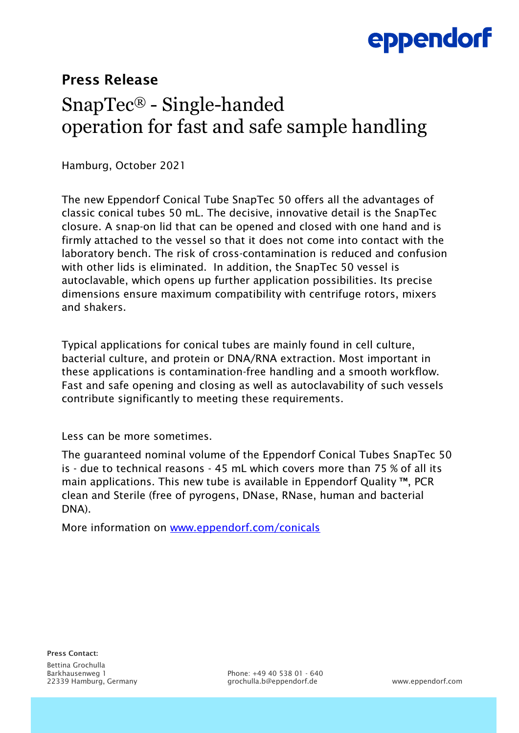# eppendorf

### Press Release

## SnapTec® - Single-handed operation for fast and safe sample handling

Hamburg, October 2021

The new Eppendorf Conical Tube SnapTec 50 offers all the advantages of classic conical tubes 50 mL. The decisive, innovative detail is the SnapTec closure. A snap-on lid that can be opened and closed with one hand and is firmly attached to the vessel so that it does not come into contact with the laboratory bench. The risk of cross-contamination is reduced and confusion with other lids is eliminated. In addition, the SnapTec 50 vessel is autoclavable, which opens up further application possibilities. Its precise dimensions ensure maximum compatibility with centrifuge rotors, mixers and shakers.

Typical applications for conical tubes are mainly found in cell culture, bacterial culture, and protein or DNA/RNA extraction. Most important in these applications is contamination-free handling and a smooth workflow. Fast and safe opening and closing as well as autoclavability of such vessels contribute significantly to meeting these requirements.

Less can be more sometimes.

The guaranteed nominal volume of the Eppendorf Conical Tubes SnapTec 50 is - due to technical reasons - 45 mL which covers more than 75 % of all its main applications. This new tube is available in Eppendorf Quality ™, PCR clean and Sterile (free of pyrogens, DNase, RNase, human and bacterial DNA).

More information on [www.eppendorf.com/conicals](http://www.eppendorf.com/conicals)